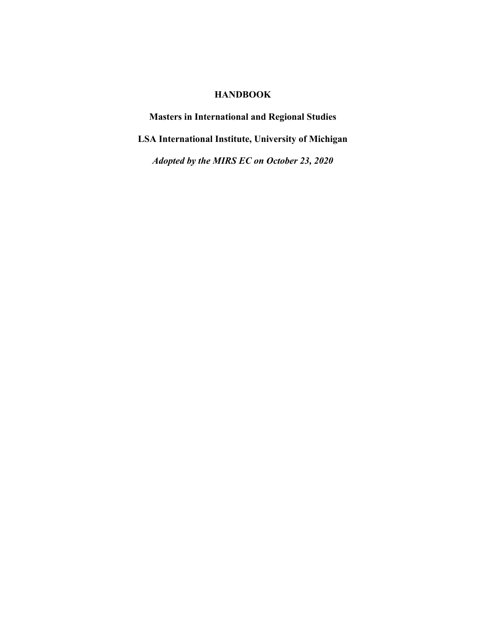# **HANDBOOK**

**Masters in International and Regional Studies LSA International Institute, University of Michigan** *Adopted by the MIRS EC on October 23, 2020*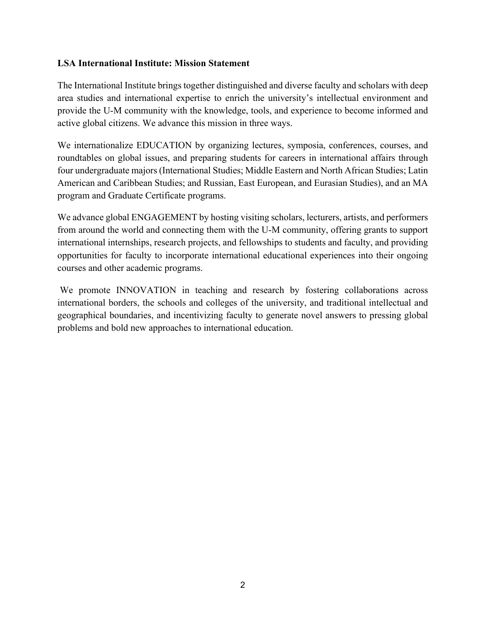#### **LSA International Institute: Mission Statement**

The International Institute brings together distinguished and diverse faculty and scholars with deep area studies and international expertise to enrich the university's intellectual environment and provide the U-M community with the knowledge, tools, and experience to become informed and active global citizens. We advance this mission in three ways.

We internationalize EDUCATION by organizing lectures, symposia, conferences, courses, and roundtables on global issues, and preparing students for careers in international affairs through four undergraduate majors (International Studies; Middle Eastern and North African Studies; Latin American and Caribbean Studies; and Russian, East European, and Eurasian Studies), and an MA program and Graduate Certificate programs.

We advance global ENGAGEMENT by hosting visiting scholars, lecturers, artists, and performers from around the world and connecting them with the U-M community, offering grants to support international internships, research projects, and fellowships to students and faculty, and providing opportunities for faculty to incorporate international educational experiences into their ongoing courses and other academic programs.

We promote INNOVATION in teaching and research by fostering collaborations across international borders, the schools and colleges of the university, and traditional intellectual and geographical boundaries, and incentivizing faculty to generate novel answers to pressing global problems and bold new approaches to international education.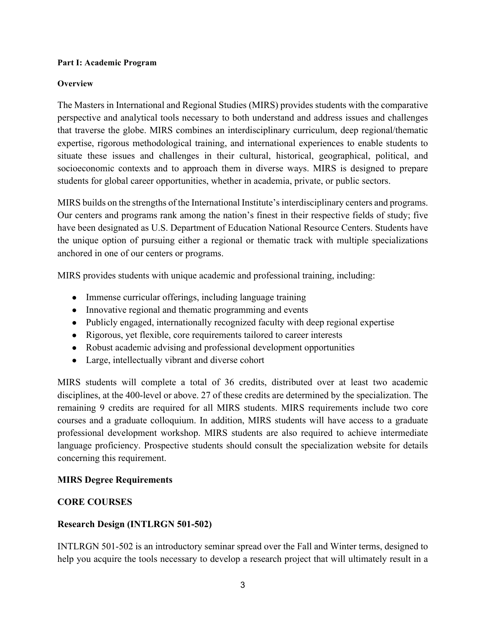#### **Part I: Academic Program**

#### **Overview**

The Masters in International and Regional Studies (MIRS) provides students with the comparative perspective and analytical tools necessary to both understand and address issues and challenges that traverse the globe. MIRS combines an interdisciplinary curriculum, deep regional/thematic expertise, rigorous methodological training, and international experiences to enable students to situate these issues and challenges in their cultural, historical, geographical, political, and socioeconomic contexts and to approach them in diverse ways. MIRS is designed to prepare students for global career opportunities, whether in academia, private, or public sectors.

MIRS builds on the strengths of the International Institute's interdisciplinary centers and programs. Our centers and programs rank among the nation's finest in their respective fields of study; five have been designated as U.S. Department of Education National Resource Centers. Students have the unique option of pursuing either a regional or thematic track with multiple specializations anchored in one of our centers or programs.

MIRS provides students with unique academic and professional training, including:

- Immense curricular offerings, including language training
- Innovative regional and thematic programming and events
- Publicly engaged, internationally recognized faculty with deep regional expertise
- Rigorous, yet flexible, core requirements tailored to career interests
- Robust academic advising and professional development opportunities
- Large, intellectually vibrant and diverse cohort

MIRS students will complete a total of 36 credits, distributed over at least two academic disciplines, at the 400-level or above. 27 of these credits are determined by the specialization. The remaining 9 credits are required for all MIRS students. MIRS requirements include two core courses and a graduate colloquium. In addition, MIRS students will have access to a graduate professional development workshop. MIRS students are also required to achieve intermediate language proficiency. Prospective students should consult the specialization website for details concerning this requirement.

## **MIRS Degree Requirements**

## **CORE COURSES**

## **Research Design (INTLRGN 501-502)**

INTLRGN 501-502 is an introductory seminar spread over the Fall and Winter terms, designed to help you acquire the tools necessary to develop a research project that will ultimately result in a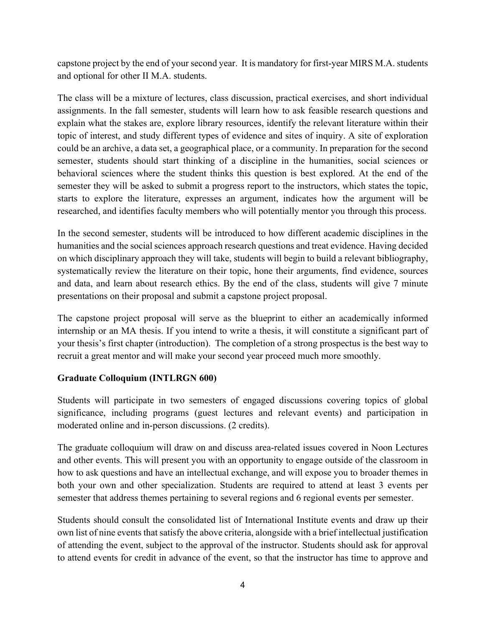capstone project by the end of your second year. It is mandatory for first-year MIRS M.A. students and optional for other II M.A. students.

The class will be a mixture of lectures, class discussion, practical exercises, and short individual assignments. In the fall semester, students will learn how to ask feasible research questions and explain what the stakes are, explore library resources, identify the relevant literature within their topic of interest, and study different types of evidence and sites of inquiry. A site of exploration could be an archive, a data set, a geographical place, or a community. In preparation for the second semester, students should start thinking of a discipline in the humanities, social sciences or behavioral sciences where the student thinks this question is best explored. At the end of the semester they will be asked to submit a progress report to the instructors, which states the topic, starts to explore the literature, expresses an argument, indicates how the argument will be researched, and identifies faculty members who will potentially mentor you through this process.

In the second semester, students will be introduced to how different academic disciplines in the humanities and the social sciences approach research questions and treat evidence. Having decided on which disciplinary approach they will take, students will begin to build a relevant bibliography, systematically review the literature on their topic, hone their arguments, find evidence, sources and data, and learn about research ethics. By the end of the class, students will give 7 minute presentations on their proposal and submit a capstone project proposal.

The capstone project proposal will serve as the blueprint to either an academically informed internship or an MA thesis. If you intend to write a thesis, it will constitute a significant part of your thesis's first chapter (introduction). The completion of a strong prospectus is the best way to recruit a great mentor and will make your second year proceed much more smoothly.

## **Graduate Colloquium (INTLRGN 600)**

Students will participate in two semesters of engaged discussions covering topics of global significance, including programs (guest lectures and relevant events) and participation in moderated online and in-person discussions. (2 credits).

The graduate colloquium will draw on and discuss area-related issues covered in Noon Lectures and other events. This will present you with an opportunity to engage outside of the classroom in how to ask questions and have an intellectual exchange, and will expose you to broader themes in both your own and other specialization. Students are required to attend at least 3 events per semester that address themes pertaining to several regions and 6 regional events per semester.

Students should consult the consolidated list of International Institute events and draw up their own list of nine events that satisfy the above criteria, alongside with a brief intellectual justification of attending the event, subject to the approval of the instructor. Students should ask for approval to attend events for credit in advance of the event, so that the instructor has time to approve and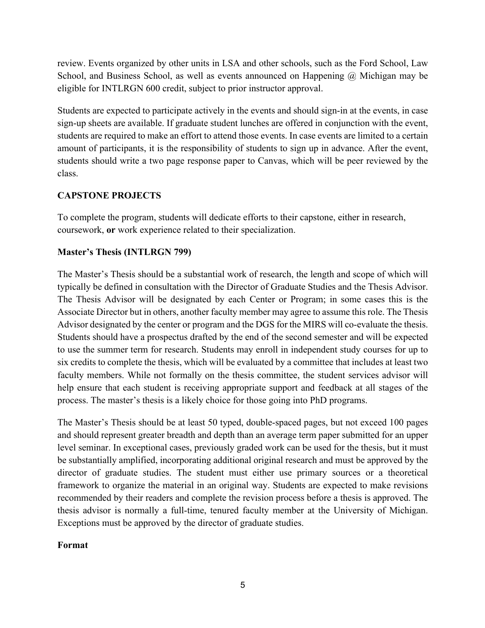review. Events organized by other units in LSA and other schools, such as the Ford School, Law School, and Business School, as well as events announced on Happening @ Michigan may be eligible for INTLRGN 600 credit, subject to prior instructor approval.

Students are expected to participate actively in the events and should sign-in at the events, in case sign-up sheets are available. If graduate student lunches are offered in conjunction with the event, students are required to make an effort to attend those events. In case events are limited to a certain amount of participants, it is the responsibility of students to sign up in advance. After the event, students should write a two page response paper to Canvas, which will be peer reviewed by the class.

## **CAPSTONE PROJECTS**

To complete the program, students will dedicate efforts to their capstone, either in research, coursework, **or** work experience related to their specialization.

## **Master's Thesis (INTLRGN 799)**

The Master's Thesis should be a substantial work of research, the length and scope of which will typically be defined in consultation with the Director of Graduate Studies and the Thesis Advisor. The Thesis Advisor will be designated by each Center or Program; in some cases this is the Associate Director but in others, another faculty member may agree to assume this role. The Thesis Advisor designated by the center or program and the DGS for the MIRS will co-evaluate the thesis. Students should have a prospectus drafted by the end of the second semester and will be expected to use the summer term for research. Students may enroll in independent study courses for up to six credits to complete the thesis, which will be evaluated by a committee that includes at least two faculty members. While not formally on the thesis committee, the student services advisor will help ensure that each student is receiving appropriate support and feedback at all stages of the process. The master's thesis is a likely choice for those going into PhD programs.

The Master's Thesis should be at least 50 typed, double-spaced pages, but not exceed 100 pages and should represent greater breadth and depth than an average term paper submitted for an upper level seminar. In exceptional cases, previously graded work can be used for the thesis, but it must be substantially amplified, incorporating additional original research and must be approved by the director of graduate studies. The student must either use primary sources or a theoretical framework to organize the material in an original way. Students are expected to make revisions recommended by their readers and complete the revision process before a thesis is approved. The thesis advisor is normally a full-time, tenured faculty member at the University of Michigan. Exceptions must be approved by the director of graduate studies.

## **Format**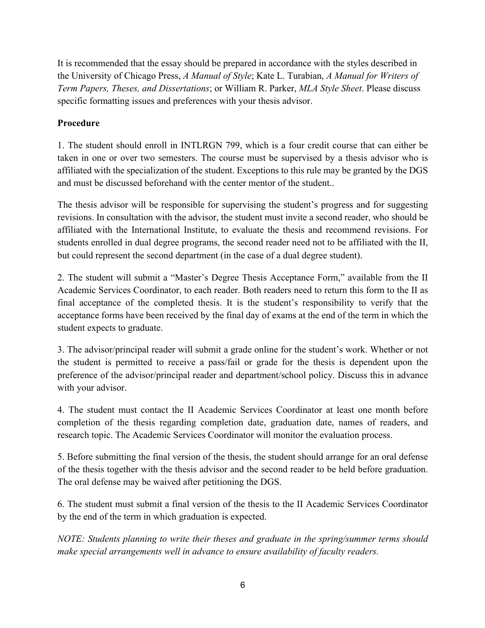It is recommended that the essay should be prepared in accordance with the styles described in the University of Chicago Press, *A Manual of Style*; Kate L. Turabian, *A Manual for Writers of Term Papers, Theses, and Dissertations*; or William R. Parker, *MLA Style Sheet*. Please discuss specific formatting issues and preferences with your thesis advisor.

# **Procedure**

1. The student should enroll in INTLRGN 799, which is a four credit course that can either be taken in one or over two semesters. The course must be supervised by a thesis advisor who is affiliated with the specialization of the student. Exceptions to this rule may be granted by the DGS and must be discussed beforehand with the center mentor of the student..

The thesis advisor will be responsible for supervising the student's progress and for suggesting revisions. In consultation with the advisor, the student must invite a second reader, who should be affiliated with the International Institute, to evaluate the thesis and recommend revisions. For students enrolled in dual degree programs, the second reader need not to be affiliated with the II, but could represent the second department (in the case of a dual degree student).

2. The student will submit a "Master's Degree Thesis Acceptance Form," available from the II Academic Services Coordinator, to each reader. Both readers need to return this form to the II as final acceptance of the completed thesis. It is the student's responsibility to verify that the acceptance forms have been received by the final day of exams at the end of the term in which the student expects to graduate.

3. The advisor/principal reader will submit a grade online for the student's work. Whether or not the student is permitted to receive a pass/fail or grade for the thesis is dependent upon the preference of the advisor/principal reader and department/school policy. Discuss this in advance with your advisor.

4. The student must contact the II Academic Services Coordinator at least one month before completion of the thesis regarding completion date, graduation date, names of readers, and research topic. The Academic Services Coordinator will monitor the evaluation process.

5. Before submitting the final version of the thesis, the student should arrange for an oral defense of the thesis together with the thesis advisor and the second reader to be held before graduation. The oral defense may be waived after petitioning the DGS.

6. The student must submit a final version of the thesis to the II Academic Services Coordinator by the end of the term in which graduation is expected.

*NOTE: Students planning to write their theses and graduate in the spring/summer terms should make special arrangements well in advance to ensure availability of faculty readers.*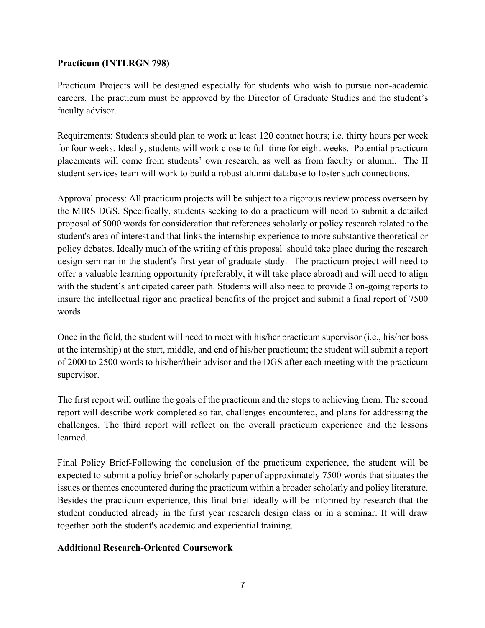## **Practicum (INTLRGN 798)**

Practicum Projects will be designed especially for students who wish to pursue non-academic careers. The practicum must be approved by the Director of Graduate Studies and the student's faculty advisor.

Requirements: Students should plan to work at least 120 contact hours; i.e. thirty hours per week for four weeks. Ideally, students will work close to full time for eight weeks. Potential practicum placements will come from students' own research, as well as from faculty or alumni. The II student services team will work to build a robust alumni database to foster such connections.

Approval process: All practicum projects will be subject to a rigorous review process overseen by the MIRS DGS. Specifically, students seeking to do a practicum will need to submit a detailed proposal of 5000 words for consideration that references scholarly or policy research related to the student's area of interest and that links the internship experience to more substantive theoretical or policy debates. Ideally much of the writing of this proposal should take place during the research design seminar in the student's first year of graduate study. The practicum project will need to offer a valuable learning opportunity (preferably, it will take place abroad) and will need to align with the student's anticipated career path. Students will also need to provide 3 on-going reports to insure the intellectual rigor and practical benefits of the project and submit a final report of 7500 words.

Once in the field, the student will need to meet with his/her practicum supervisor (i.e., his/her boss at the internship) at the start, middle, and end of his/her practicum; the student will submit a report of 2000 to 2500 words to his/her/their advisor and the DGS after each meeting with the practicum supervisor.

The first report will outline the goals of the practicum and the steps to achieving them. The second report will describe work completed so far, challenges encountered, and plans for addressing the challenges. The third report will reflect on the overall practicum experience and the lessons learned.

Final Policy Brief-Following the conclusion of the practicum experience, the student will be expected to submit a policy brief or scholarly paper of approximately 7500 words that situates the issues or themes encountered during the practicum within a broader scholarly and policy literature. Besides the practicum experience, this final brief ideally will be informed by research that the student conducted already in the first year research design class or in a seminar. It will draw together both the student's academic and experiential training.

## **Additional Research-Oriented Coursework**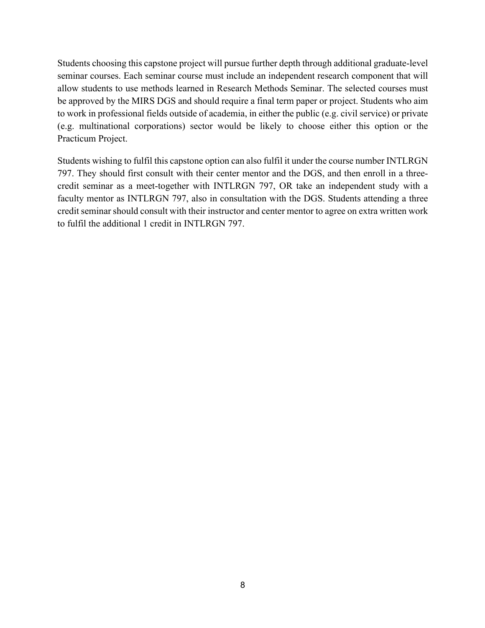Students choosing this capstone project will pursue further depth through additional graduate-level seminar courses. Each seminar course must include an independent research component that will allow students to use methods learned in Research Methods Seminar. The selected courses must be approved by the MIRS DGS and should require a final term paper or project. Students who aim to work in professional fields outside of academia, in either the public (e.g. civil service) or private (e.g. multinational corporations) sector would be likely to choose either this option or the Practicum Project.

Students wishing to fulfil this capstone option can also fulfil it under the course number INTLRGN 797. They should first consult with their center mentor and the DGS, and then enroll in a threecredit seminar as a meet-together with INTLRGN 797, OR take an independent study with a faculty mentor as INTLRGN 797, also in consultation with the DGS. Students attending a three credit seminar should consult with their instructor and center mentor to agree on extra written work to fulfil the additional 1 credit in INTLRGN 797.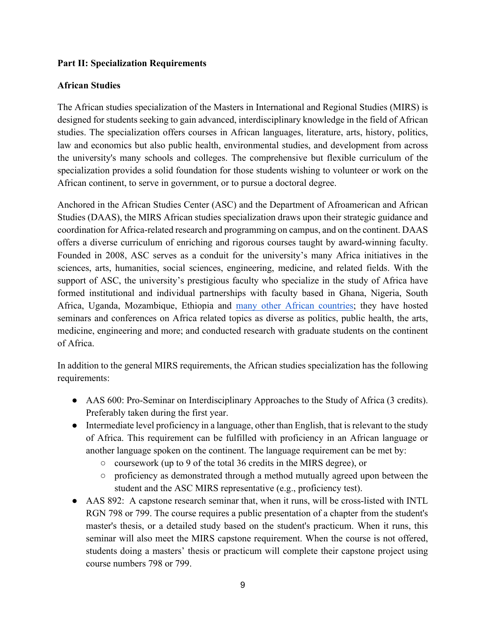## **Part II: Specialization Requirements**

# **African Studies**

The African studies specialization of the Masters in International and Regional Studies (MIRS) is designed for students seeking to gain advanced, interdisciplinary knowledge in the field of African studies. The specialization offers courses in African languages, literature, arts, history, politics, law and economics but also public health, environmental studies, and development from across the university's many schools and colleges. The comprehensive but flexible curriculum of the specialization provides a solid foundation for those students wishing to volunteer or work on the African continent, to serve in government, or to pursue a doctoral degree.

Anchored in the African Studies Center (ASC) and the Department of Afroamerican and African Studies (DAAS), the MIRS African studies specialization draws upon their strategic guidance and coordination for Africa-related research and programming on campus, and on the continent. DAAS offers a diverse curriculum of enriching and rigorous courses taught by award-winning faculty. Founded in 2008, ASC serves as a conduit for the university's many Africa initiatives in the sciences, arts, humanities, social sciences, engineering, medicine, and related fields. With the support of ASC, the university's prestigious faculty who specialize in the study of Africa have formed institutional and individual partnerships with faculty based in Ghana, Nigeria, South Africa, Uganda, Mozambique, Ethiopia and many other African countries; they have hosted seminars and conferences on Africa related topics as diverse as politics, public health, the arts, medicine, engineering and more; and conducted research with graduate students on the continent of Africa.

In addition to the general MIRS requirements, the African studies specialization has the following requirements:

- AAS 600: Pro-Seminar on Interdisciplinary Approaches to the Study of Africa (3 credits). Preferably taken during the first year.
- Intermediate level proficiency in a language, other than English, that is relevant to the study of Africa. This requirement can be fulfilled with proficiency in an African language or another language spoken on the continent. The language requirement can be met by:
	- coursework (up to 9 of the total 36 credits in the MIRS degree), or
	- proficiency as demonstrated through a method mutually agreed upon between the student and the ASC MIRS representative (e.g., proficiency test).
- AAS 892: A capstone research seminar that, when it runs, will be cross-listed with INTL RGN 798 or 799. The course requires a public presentation of a chapter from the student's master's thesis, or a detailed study based on the student's practicum. When it runs, this seminar will also meet the MIRS capstone requirement. When the course is not offered, students doing a masters' thesis or practicum will complete their capstone project using course numbers 798 or 799.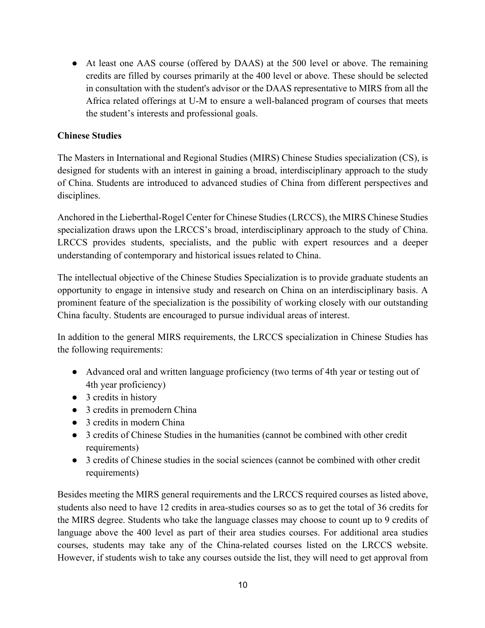• At least one AAS course (offered by DAAS) at the 500 level or above. The remaining credits are filled by courses primarily at the 400 level or above. These should be selected in consultation with the student's advisor or the DAAS representative to MIRS from all the Africa related offerings at U-M to ensure a well-balanced program of courses that meets the student's interests and professional goals.

## **Chinese Studies**

The Masters in International and Regional Studies (MIRS) Chinese Studies specialization (CS), is designed for students with an interest in gaining a broad, interdisciplinary approach to the study of China. Students are introduced to advanced studies of China from different perspectives and disciplines.

Anchored in the Lieberthal-Rogel Center for Chinese Studies (LRCCS), the MIRS Chinese Studies specialization draws upon the LRCCS's broad, interdisciplinary approach to the study of China. LRCCS provides students, specialists, and the public with expert resources and a deeper understanding of contemporary and historical issues related to China.

The intellectual objective of the Chinese Studies Specialization is to provide graduate students an opportunity to engage in intensive study and research on China on an interdisciplinary basis. A prominent feature of the specialization is the possibility of working closely with our outstanding China faculty. Students are encouraged to pursue individual areas of interest.

In addition to the general MIRS requirements, the LRCCS specialization in Chinese Studies has the following requirements:

- Advanced oral and written language proficiency (two terms of 4th year or testing out of 4th year proficiency)
- 3 credits in history
- 3 credits in premodern China
- 3 credits in modern China
- 3 credits of Chinese Studies in the humanities (cannot be combined with other credit requirements)
- 3 credits of Chinese studies in the social sciences (cannot be combined with other credit requirements)

Besides meeting the MIRS general requirements and the LRCCS required courses as listed above, students also need to have 12 credits in area-studies courses so as to get the total of 36 credits for the MIRS degree. Students who take the language classes may choose to count up to 9 credits of language above the 400 level as part of their area studies courses. For additional area studies courses, students may take any of the China-related courses listed on the LRCCS website. However, if students wish to take any courses outside the list, they will need to get approval from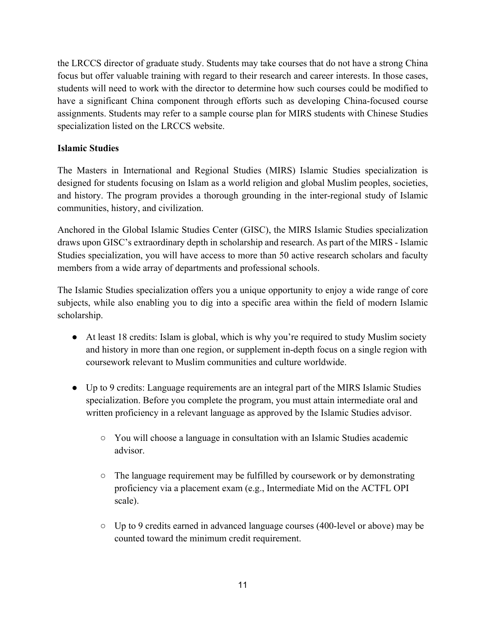the LRCCS director of graduate study. Students may take courses that do not have a strong China focus but offer valuable training with regard to their research and career interests. In those cases, students will need to work with the director to determine how such courses could be modified to have a significant China component through efforts such as developing China-focused course assignments. Students may refer to a sample course plan for MIRS students with Chinese Studies specialization listed on the LRCCS website.

# **Islamic Studies**

The Masters in International and Regional Studies (MIRS) Islamic Studies specialization is designed for students focusing on Islam as a world religion and global Muslim peoples, societies, and history. The program provides a thorough grounding in the inter-regional study of Islamic communities, history, and civilization.

Anchored in the Global Islamic Studies Center (GISC), the MIRS Islamic Studies specialization draws upon GISC's extraordinary depth in scholarship and research. As part of the MIRS - Islamic Studies specialization, you will have access to more than 50 active research scholars and faculty members from a wide array of departments and professional schools.

The Islamic Studies specialization offers you a unique opportunity to enjoy a wide range of core subjects, while also enabling you to dig into a specific area within the field of modern Islamic scholarship.

- At least 18 credits: Islam is global, which is why you're required to study Muslim society and history in more than one region, or supplement in-depth focus on a single region with coursework relevant to Muslim communities and culture worldwide.
- Up to 9 credits: Language requirements are an integral part of the MIRS Islamic Studies specialization. Before you complete the program, you must attain intermediate oral and written proficiency in a relevant language as approved by the Islamic Studies advisor.
	- You will choose a language in consultation with an Islamic Studies academic advisor.
	- $\circ$  The language requirement may be fulfilled by coursework or by demonstrating proficiency via a placement exam (e.g., Intermediate Mid on the ACTFL OPI scale).
	- Up to 9 credits earned in advanced language courses (400-level or above) may be counted toward the minimum credit requirement.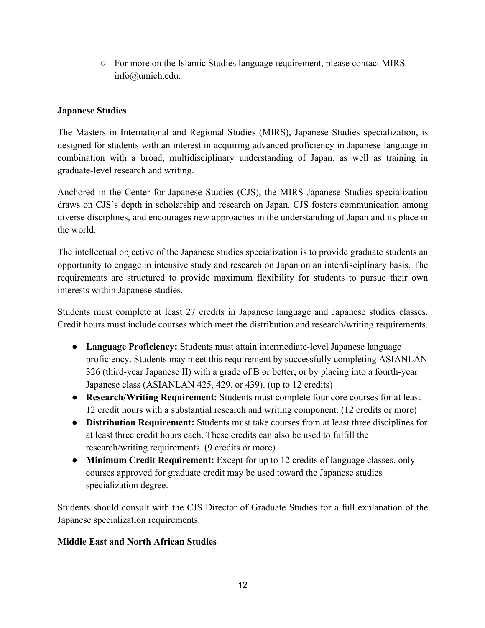○ For more on the Islamic Studies language requirement, please contact MIRSinfo@umich.edu.

# **Japanese Studies**

The Masters in International and Regional Studies (MIRS), Japanese Studies specialization, is designed for students with an interest in acquiring advanced proficiency in Japanese language in combination with a broad, multidisciplinary understanding of Japan, as well as training in graduate-level research and writing.

Anchored in the Center for Japanese Studies (CJS), the MIRS Japanese Studies specialization draws on CJS's depth in scholarship and research on Japan. CJS fosters communication among diverse disciplines, and encourages new approaches in the understanding of Japan and its place in the world.

The intellectual objective of the Japanese studies specialization is to provide graduate students an opportunity to engage in intensive study and research on Japan on an interdisciplinary basis. The requirements are structured to provide maximum flexibility for students to pursue their own interests within Japanese studies.

Students must complete at least 27 credits in Japanese language and Japanese studies classes. Credit hours must include courses which meet the distribution and research/writing requirements.

- **Language Proficiency:** Students must attain intermediate-level Japanese language proficiency. Students may meet this requirement by successfully completing ASIANLAN 326 (third-year Japanese II) with a grade of B or better, or by placing into a fourth-year Japanese class (ASIANLAN 425, 429, or 439). (up to 12 credits)
- **Research/Writing Requirement:** Students must complete four core courses for at least 12 credit hours with a substantial research and writing component. (12 credits or more)
- **Distribution Requirement:** Students must take courses from at least three disciplines for at least three credit hours each. These credits can also be used to fulfill the research/writing requirements. (9 credits or more)
- **Minimum Credit Requirement:** Except for up to 12 credits of language classes, only courses approved for graduate credit may be used toward the Japanese studies specialization degree.

Students should consult with the CJS Director of Graduate Studies for a full explanation of the Japanese specialization requirements.

## **Middle East and North African Studies**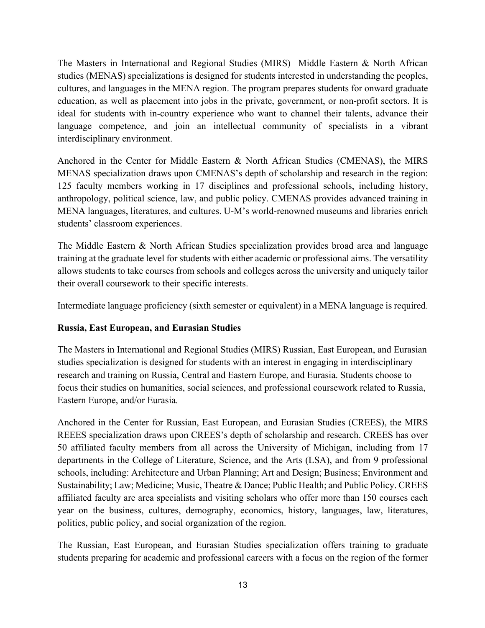The Masters in International and Regional Studies (MIRS) Middle Eastern & North African studies (MENAS) specializations is designed for students interested in understanding the peoples, cultures, and languages in the MENA region. The program prepares students for onward graduate education, as well as placement into jobs in the private, government, or non-profit sectors. It is ideal for students with in-country experience who want to channel their talents, advance their language competence, and join an intellectual community of specialists in a vibrant interdisciplinary environment.

Anchored in the Center for Middle Eastern & North African Studies (CMENAS), the MIRS MENAS specialization draws upon CMENAS's depth of scholarship and research in the region: 125 faculty members working in 17 disciplines and professional schools, including history, anthropology, political science, law, and public policy. CMENAS provides advanced training in MENA languages, literatures, and cultures. U-M's world-renowned museums and libraries enrich students' classroom experiences.

The Middle Eastern & North African Studies specialization provides broad area and language training at the graduate level for students with either academic or professional aims. The versatility allows students to take courses from schools and colleges across the university and uniquely tailor their overall coursework to their specific interests.

Intermediate language proficiency (sixth semester or equivalent) in a MENA language is required.

## **Russia, East European, and Eurasian Studies**

The Masters in International and Regional Studies (MIRS) Russian, East European, and Eurasian studies specialization is designed for students with an interest in engaging in interdisciplinary research and training on Russia, Central and Eastern Europe, and Eurasia. Students choose to focus their studies on humanities, social sciences, and professional coursework related to Russia, Eastern Europe, and/or Eurasia.

Anchored in the Center for Russian, East European, and Eurasian Studies (CREES), the MIRS REEES specialization draws upon CREES's depth of scholarship and research. CREES has over 50 affiliated faculty members from all across the University of Michigan, including from 17 departments in the College of Literature, Science, and the Arts (LSA), and from 9 professional schools, including: Architecture and Urban Planning; Art and Design; Business; Environment and Sustainability; Law; Medicine; Music, Theatre & Dance; Public Health; and Public Policy. CREES affiliated faculty are area specialists and visiting scholars who offer more than 150 courses each year on the business, cultures, demography, economics, history, languages, law, literatures, politics, public policy, and social organization of the region.

The Russian, East European, and Eurasian Studies specialization offers training to graduate students preparing for academic and professional careers with a focus on the region of the former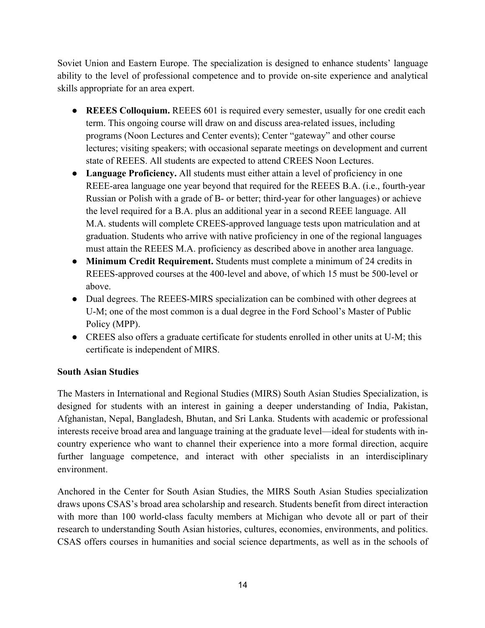Soviet Union and Eastern Europe. The specialization is designed to enhance students' language ability to the level of professional competence and to provide on-site experience and analytical skills appropriate for an area expert.

- **REEES Colloquium.** REEES 601 is required every semester, usually for one credit each term. This ongoing course will draw on and discuss area-related issues, including programs (Noon Lectures and Center events); Center "gateway" and other course lectures; visiting speakers; with occasional separate meetings on development and current state of REEES. All students are expected to attend CREES Noon Lectures.
- **Language Proficiency.** All students must either attain a level of proficiency in one REEE-area language one year beyond that required for the REEES B.A. (i.e., fourth-year Russian or Polish with a grade of B- or better; third-year for other languages) or achieve the level required for a B.A. plus an additional year in a second REEE language. All M.A. students will complete CREES-approved language tests upon matriculation and at graduation. Students who arrive with native proficiency in one of the regional languages must attain the REEES M.A. proficiency as described above in another area language.
- **Minimum Credit Requirement.** Students must complete a minimum of 24 credits in REEES-approved courses at the 400-level and above, of which 15 must be 500-level or above.
- Dual degrees. The REEES-MIRS specialization can be combined with other degrees at U-M; one of the most common is a dual degree in the Ford School's Master of Public Policy (MPP).
- CREES also offers a graduate certificate for students enrolled in other units at U-M; this certificate is independent of MIRS.

## **South Asian Studies**

The Masters in International and Regional Studies (MIRS) South Asian Studies Specialization, is designed for students with an interest in gaining a deeper understanding of India, Pakistan, Afghanistan, Nepal, Bangladesh, Bhutan, and Sri Lanka. Students with academic or professional interests receive broad area and language training at the graduate level—ideal for students with incountry experience who want to channel their experience into a more formal direction, acquire further language competence, and interact with other specialists in an interdisciplinary environment.

Anchored in the Center for South Asian Studies, the MIRS South Asian Studies specialization draws upons CSAS's broad area scholarship and research. Students benefit from direct interaction with more than 100 world-class faculty members at Michigan who devote all or part of their research to understanding South Asian histories, cultures, economies, environments, and politics. CSAS offers courses in humanities and social science departments, as well as in the schools of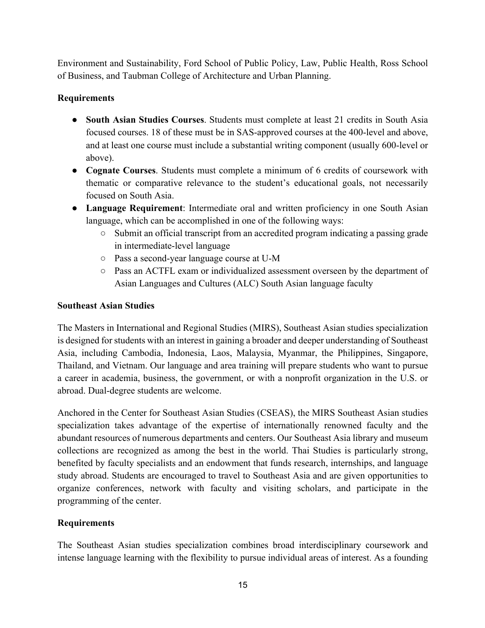Environment and Sustainability, Ford School of Public Policy, Law, Public Health, Ross School of Business, and Taubman College of Architecture and Urban Planning.

# **Requirements**

- **South Asian Studies Courses**. Students must complete at least 21 credits in South Asia focused courses. 18 of these must be in SAS-approved courses at the 400-level and above, and at least one course must include a substantial writing component (usually 600-level or above).
- **Cognate Courses**. Students must complete a minimum of 6 credits of coursework with thematic or comparative relevance to the student's educational goals, not necessarily focused on South Asia.
- **Language Requirement**: Intermediate oral and written proficiency in one South Asian language, which can be accomplished in one of the following ways:
	- Submit an official transcript from an accredited program indicating a passing grade in intermediate-level language
	- Pass a second-year language course at U-M
	- Pass an ACTFL exam or individualized assessment overseen by the department of Asian Languages and Cultures (ALC) South Asian language faculty

## **Southeast Asian Studies**

The Masters in International and Regional Studies (MIRS), Southeast Asian studies specialization is designed for students with an interest in gaining a broader and deeper understanding of Southeast Asia, including Cambodia, Indonesia, Laos, Malaysia, Myanmar, the Philippines, Singapore, Thailand, and Vietnam. Our language and area training will prepare students who want to pursue a career in academia, business, the government, or with a nonprofit organization in the U.S. or abroad. Dual-degree students are welcome.

Anchored in the Center for Southeast Asian Studies (CSEAS), the MIRS Southeast Asian studies specialization takes advantage of the expertise of internationally renowned faculty and the abundant resources of numerous departments and centers. Our Southeast Asia library and museum collections are recognized as among the best in the world. Thai Studies is particularly strong, benefited by faculty specialists and an endowment that funds research, internships, and language study abroad. Students are encouraged to travel to Southeast Asia and are given opportunities to organize conferences, network with faculty and visiting scholars, and participate in the programming of the center.

# **Requirements**

The Southeast Asian studies specialization combines broad interdisciplinary coursework and intense language learning with the flexibility to pursue individual areas of interest. As a founding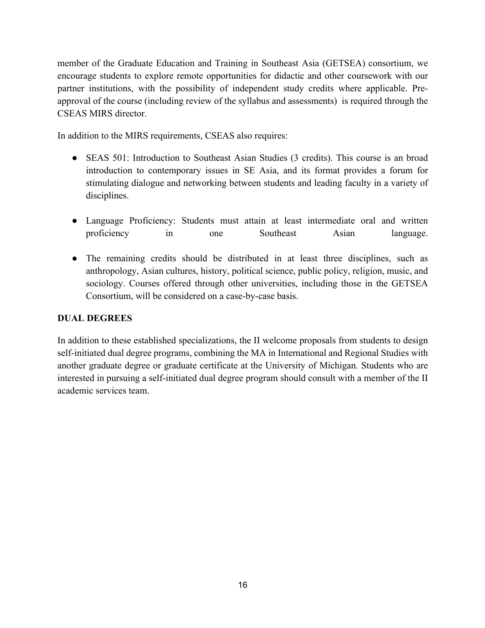member of the Graduate Education and Training in Southeast Asia (GETSEA) consortium, we encourage students to explore remote opportunities for didactic and other coursework with our partner institutions, with the possibility of independent study credits where applicable. Preapproval of the course (including review of the syllabus and assessments) is required through the CSEAS MIRS director.

In addition to the MIRS requirements, CSEAS also requires:

- SEAS 501: Introduction to Southeast Asian Studies (3 credits). This course is an broad introduction to contemporary issues in SE Asia, and its format provides a forum for stimulating dialogue and networking between students and leading faculty in a variety of disciplines.
- Language Proficiency: Students must attain at least intermediate oral and written proficiency in one Southeast Asian language.
- The remaining credits should be distributed in at least three disciplines, such as anthropology, Asian cultures, history, political science, public policy, religion, music, and sociology. Courses offered through other universities, including those in the GETSEA Consortium, will be considered on a case-by-case basis.

## **DUAL DEGREES**

In addition to these established specializations, the II welcome proposals from students to design self-initiated dual degree programs, combining the MA in International and Regional Studies with another graduate degree or graduate certificate at the University of Michigan. Students who are interested in pursuing a self-initiated dual degree program should consult with a member of the II academic services team.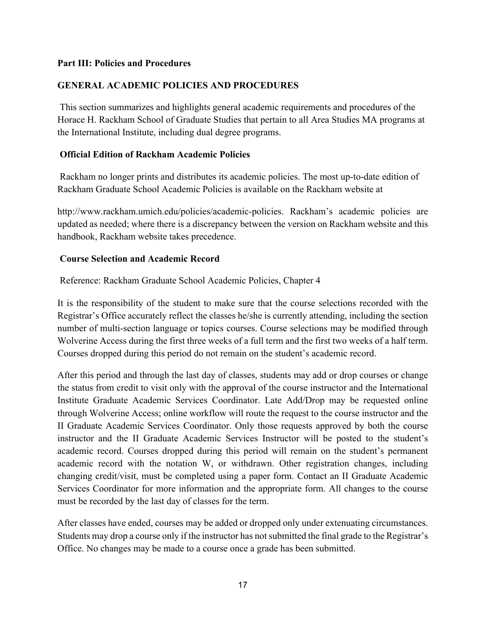#### **Part III: Policies and Procedures**

## **GENERAL ACADEMIC POLICIES AND PROCEDURES**

This section summarizes and highlights general academic requirements and procedures of the Horace H. Rackham School of Graduate Studies that pertain to all Area Studies MA programs at the International Institute, including dual degree programs.

#### **Official Edition of Rackham Academic Policies**

Rackham no longer prints and distributes its academic policies. The most up-to-date edition of Rackham Graduate School Academic Policies is available on the Rackham website at

http://www.rackham.umich.edu/policies/academic-policies. Rackham's academic policies are updated as needed; where there is a discrepancy between the version on Rackham website and this handbook, Rackham website takes precedence.

#### **Course Selection and Academic Record**

Reference: Rackham Graduate School Academic Policies, Chapter 4

It is the responsibility of the student to make sure that the course selections recorded with the Registrar's Office accurately reflect the classes he/she is currently attending, including the section number of multi-section language or topics courses. Course selections may be modified through Wolverine Access during the first three weeks of a full term and the first two weeks of a half term. Courses dropped during this period do not remain on the student's academic record.

After this period and through the last day of classes, students may add or drop courses or change the status from credit to visit only with the approval of the course instructor and the International Institute Graduate Academic Services Coordinator. Late Add/Drop may be requested online through Wolverine Access; online workflow will route the request to the course instructor and the II Graduate Academic Services Coordinator. Only those requests approved by both the course instructor and the II Graduate Academic Services Instructor will be posted to the student's academic record. Courses dropped during this period will remain on the student's permanent academic record with the notation W, or withdrawn. Other registration changes, including changing credit/visit, must be completed using a paper form. Contact an II Graduate Academic Services Coordinator for more information and the appropriate form. All changes to the course must be recorded by the last day of classes for the term.

After classes have ended, courses may be added or dropped only under extenuating circumstances. Students may drop a course only if the instructor has not submitted the final grade to the Registrar's Office. No changes may be made to a course once a grade has been submitted.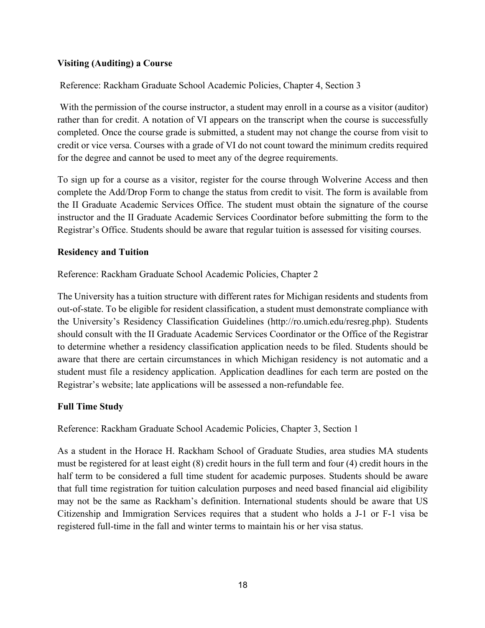## **Visiting (Auditing) a Course**

Reference: Rackham Graduate School Academic Policies, Chapter 4, Section 3

With the permission of the course instructor, a student may enroll in a course as a visitor (auditor) rather than for credit. A notation of VI appears on the transcript when the course is successfully completed. Once the course grade is submitted, a student may not change the course from visit to credit or vice versa. Courses with a grade of VI do not count toward the minimum credits required for the degree and cannot be used to meet any of the degree requirements.

To sign up for a course as a visitor, register for the course through Wolverine Access and then complete the Add/Drop Form to change the status from credit to visit. The form is available from the II Graduate Academic Services Office. The student must obtain the signature of the course instructor and the II Graduate Academic Services Coordinator before submitting the form to the Registrar's Office. Students should be aware that regular tuition is assessed for visiting courses.

## **Residency and Tuition**

Reference: Rackham Graduate School Academic Policies, Chapter 2

The University has a tuition structure with different rates for Michigan residents and students from out-of-state. To be eligible for resident classification, a student must demonstrate compliance with the University's Residency Classification Guidelines (http://ro.umich.edu/resreg.php). Students should consult with the II Graduate Academic Services Coordinator or the Office of the Registrar to determine whether a residency classification application needs to be filed. Students should be aware that there are certain circumstances in which Michigan residency is not automatic and a student must file a residency application. Application deadlines for each term are posted on the Registrar's website; late applications will be assessed a non-refundable fee.

## **Full Time Study**

Reference: Rackham Graduate School Academic Policies, Chapter 3, Section 1

As a student in the Horace H. Rackham School of Graduate Studies, area studies MA students must be registered for at least eight (8) credit hours in the full term and four (4) credit hours in the half term to be considered a full time student for academic purposes. Students should be aware that full time registration for tuition calculation purposes and need based financial aid eligibility may not be the same as Rackham's definition. International students should be aware that US Citizenship and Immigration Services requires that a student who holds a J-1 or F-1 visa be registered full-time in the fall and winter terms to maintain his or her visa status.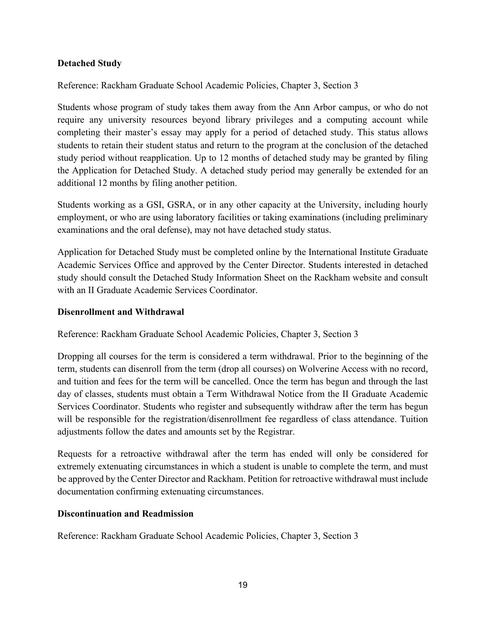## **Detached Study**

Reference: Rackham Graduate School Academic Policies, Chapter 3, Section 3

Students whose program of study takes them away from the Ann Arbor campus, or who do not require any university resources beyond library privileges and a computing account while completing their master's essay may apply for a period of detached study. This status allows students to retain their student status and return to the program at the conclusion of the detached study period without reapplication. Up to 12 months of detached study may be granted by filing the Application for Detached Study. A detached study period may generally be extended for an additional 12 months by filing another petition.

Students working as a GSI, GSRA, or in any other capacity at the University, including hourly employment, or who are using laboratory facilities or taking examinations (including preliminary examinations and the oral defense), may not have detached study status.

Application for Detached Study must be completed online by the International Institute Graduate Academic Services Office and approved by the Center Director. Students interested in detached study should consult the Detached Study Information Sheet on the Rackham website and consult with an II Graduate Academic Services Coordinator.

## **Disenrollment and Withdrawal**

Reference: Rackham Graduate School Academic Policies, Chapter 3, Section 3

Dropping all courses for the term is considered a term withdrawal. Prior to the beginning of the term, students can disenroll from the term (drop all courses) on Wolverine Access with no record, and tuition and fees for the term will be cancelled. Once the term has begun and through the last day of classes, students must obtain a Term Withdrawal Notice from the II Graduate Academic Services Coordinator. Students who register and subsequently withdraw after the term has begun will be responsible for the registration/disenrollment fee regardless of class attendance. Tuition adjustments follow the dates and amounts set by the Registrar.

Requests for a retroactive withdrawal after the term has ended will only be considered for extremely extenuating circumstances in which a student is unable to complete the term, and must be approved by the Center Director and Rackham. Petition for retroactive withdrawal must include documentation confirming extenuating circumstances.

## **Discontinuation and Readmission**

Reference: Rackham Graduate School Academic Policies, Chapter 3, Section 3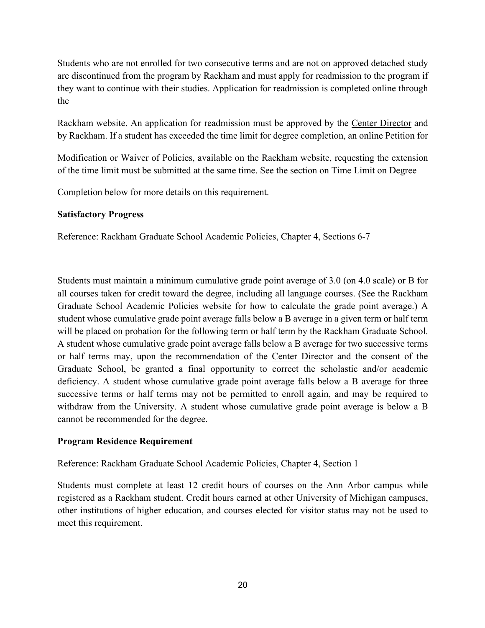Students who are not enrolled for two consecutive terms and are not on approved detached study are discontinued from the program by Rackham and must apply for readmission to the program if they want to continue with their studies. Application for readmission is completed online through the

Rackham website. An application for readmission must be approved by the Center Director and by Rackham. If a student has exceeded the time limit for degree completion, an online Petition for

Modification or Waiver of Policies, available on the Rackham website, requesting the extension of the time limit must be submitted at the same time. See the section on Time Limit on Degree

Completion below for more details on this requirement.

## **Satisfactory Progress**

Reference: Rackham Graduate School Academic Policies, Chapter 4, Sections 6-7

Students must maintain a minimum cumulative grade point average of 3.0 (on 4.0 scale) or B for all courses taken for credit toward the degree, including all language courses. (See the Rackham Graduate School Academic Policies website for how to calculate the grade point average.) A student whose cumulative grade point average falls below a B average in a given term or half term will be placed on probation for the following term or half term by the Rackham Graduate School. A student whose cumulative grade point average falls below a B average for two successive terms or half terms may, upon the recommendation of the Center Director and the consent of the Graduate School, be granted a final opportunity to correct the scholastic and/or academic deficiency. A student whose cumulative grade point average falls below a B average for three successive terms or half terms may not be permitted to enroll again, and may be required to withdraw from the University. A student whose cumulative grade point average is below a B cannot be recommended for the degree.

## **Program Residence Requirement**

Reference: Rackham Graduate School Academic Policies, Chapter 4, Section 1

Students must complete at least 12 credit hours of courses on the Ann Arbor campus while registered as a Rackham student. Credit hours earned at other University of Michigan campuses, other institutions of higher education, and courses elected for visitor status may not be used to meet this requirement.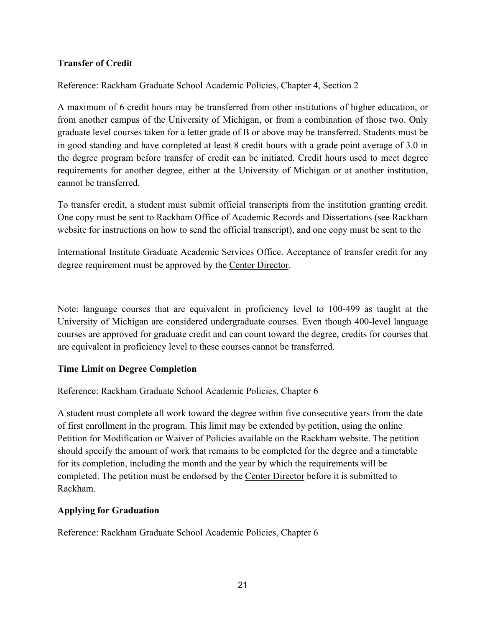## **Transfer of Credit**

Reference: Rackham Graduate School Academic Policies, Chapter 4, Section 2

A maximum of 6 credit hours may be transferred from other institutions of higher education, or from another campus of the University of Michigan, or from a combination of those two. Only graduate level courses taken for a letter grade of B or above may be transferred. Students must be in good standing and have completed at least 8 credit hours with a grade point average of 3.0 in the degree program before transfer of credit can be initiated. Credit hours used to meet degree requirements for another degree, either at the University of Michigan or at another institution, cannot be transferred.

To transfer credit, a student must submit official transcripts from the institution granting credit. One copy must be sent to Rackham Office of Academic Records and Dissertations (see Rackham website for instructions on how to send the official transcript), and one copy must be sent to the

International Institute Graduate Academic Services Office. Acceptance of transfer credit for any degree requirement must be approved by the Center Director.

Note: language courses that are equivalent in proficiency level to 100-499 as taught at the University of Michigan are considered undergraduate courses. Even though 400-level language courses are approved for graduate credit and can count toward the degree, credits for courses that are equivalent in proficiency level to these courses cannot be transferred.

## **Time Limit on Degree Completion**

Reference: Rackham Graduate School Academic Policies, Chapter 6

A student must complete all work toward the degree within five consecutive years from the date of first enrollment in the program. This limit may be extended by petition, using the online Petition for Modification or Waiver of Policies available on the Rackham website. The petition should specify the amount of work that remains to be completed for the degree and a timetable for its completion, including the month and the year by which the requirements will be completed. The petition must be endorsed by the Center Director before it is submitted to Rackham.

# **Applying for Graduation**

Reference: Rackham Graduate School Academic Policies, Chapter 6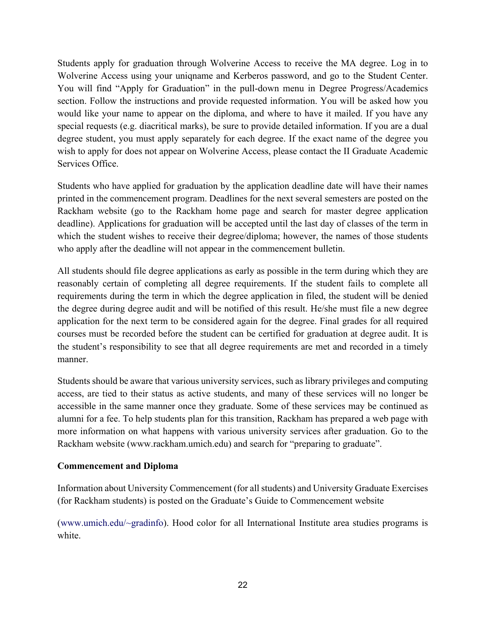Students apply for graduation through Wolverine Access to receive the MA degree. Log in to Wolverine Access using your uniqname and Kerberos password, and go to the Student Center. You will find "Apply for Graduation" in the pull-down menu in Degree Progress/Academics section. Follow the instructions and provide requested information. You will be asked how you would like your name to appear on the diploma, and where to have it mailed. If you have any special requests (e.g. diacritical marks), be sure to provide detailed information. If you are a dual degree student, you must apply separately for each degree. If the exact name of the degree you wish to apply for does not appear on Wolverine Access, please contact the II Graduate Academic Services Office.

Students who have applied for graduation by the application deadline date will have their names printed in the commencement program. Deadlines for the next several semesters are posted on the Rackham website (go to the Rackham home page and search for master degree application deadline). Applications for graduation will be accepted until the last day of classes of the term in which the student wishes to receive their degree/diploma; however, the names of those students who apply after the deadline will not appear in the commencement bulletin.

All students should file degree applications as early as possible in the term during which they are reasonably certain of completing all degree requirements. If the student fails to complete all requirements during the term in which the degree application in filed, the student will be denied the degree during degree audit and will be notified of this result. He/she must file a new degree application for the next term to be considered again for the degree. Final grades for all required courses must be recorded before the student can be certified for graduation at degree audit. It is the student's responsibility to see that all degree requirements are met and recorded in a timely manner.

Students should be aware that various university services, such as library privileges and computing access, are tied to their status as active students, and many of these services will no longer be accessible in the same manner once they graduate. Some of these services may be continued as alumni for a fee. To help students plan for this transition, Rackham has prepared a web page with more information on what happens with various university services after graduation. Go to the Rackham website (www.rackham.umich.edu) and search for "preparing to graduate".

## **Commencement and Diploma**

Information about University Commencement (for all students) and University Graduate Exercises (for Rackham students) is posted on the Graduate's Guide to Commencement website

(www.umich.edu/~gradinfo). Hood color for all International Institute area studies programs is white.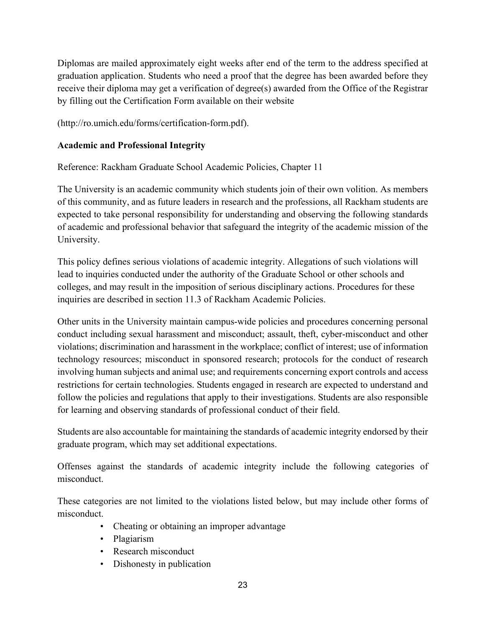Diplomas are mailed approximately eight weeks after end of the term to the address specified at graduation application. Students who need a proof that the degree has been awarded before they receive their diploma may get a verification of degree(s) awarded from the Office of the Registrar by filling out the Certification Form available on their website

(http://ro.umich.edu/forms/certification-form.pdf).

## **Academic and Professional Integrity**

Reference: Rackham Graduate School Academic Policies, Chapter 11

The University is an academic community which students join of their own volition. As members of this community, and as future leaders in research and the professions, all Rackham students are expected to take personal responsibility for understanding and observing the following standards of academic and professional behavior that safeguard the integrity of the academic mission of the University.

This policy defines serious violations of academic integrity. Allegations of such violations will lead to inquiries conducted under the authority of the Graduate School or other schools and colleges, and may result in the imposition of serious disciplinary actions. Procedures for these inquiries are described in section 11.3 of Rackham Academic Policies.

Other units in the University maintain campus-wide policies and procedures concerning personal conduct including sexual harassment and misconduct; assault, theft, cyber-misconduct and other violations; discrimination and harassment in the workplace; conflict of interest; use of information technology resources; misconduct in sponsored research; protocols for the conduct of research involving human subjects and animal use; and requirements concerning export controls and access restrictions for certain technologies. Students engaged in research are expected to understand and follow the policies and regulations that apply to their investigations. Students are also responsible for learning and observing standards of professional conduct of their field.

Students are also accountable for maintaining the standards of academic integrity endorsed by their graduate program, which may set additional expectations.

Offenses against the standards of academic integrity include the following categories of misconduct.

These categories are not limited to the violations listed below, but may include other forms of misconduct.

- Cheating or obtaining an improper advantage
- Plagiarism
- Research misconduct
- Dishonesty in publication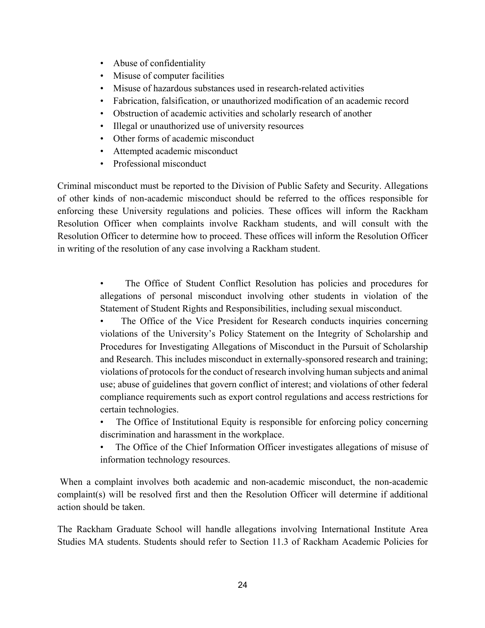- Abuse of confidentiality
- Misuse of computer facilities
- Misuse of hazardous substances used in research-related activities
- Fabrication, falsification, or unauthorized modification of an academic record
- Obstruction of academic activities and scholarly research of another
- Illegal or unauthorized use of university resources
- Other forms of academic misconduct
- Attempted academic misconduct
- Professional misconduct

Criminal misconduct must be reported to the Division of Public Safety and Security. Allegations of other kinds of non-academic misconduct should be referred to the offices responsible for enforcing these University regulations and policies. These offices will inform the Rackham Resolution Officer when complaints involve Rackham students, and will consult with the Resolution Officer to determine how to proceed. These offices will inform the Resolution Officer in writing of the resolution of any case involving a Rackham student.

> The Office of Student Conflict Resolution has policies and procedures for allegations of personal misconduct involving other students in violation of the Statement of Student Rights and Responsibilities, including sexual misconduct.

> The Office of the Vice President for Research conducts inquiries concerning violations of the University's Policy Statement on the Integrity of Scholarship and Procedures for Investigating Allegations of Misconduct in the Pursuit of Scholarship and Research. This includes misconduct in externally-sponsored research and training; violations of protocols for the conduct of research involving human subjects and animal use; abuse of guidelines that govern conflict of interest; and violations of other federal compliance requirements such as export control regulations and access restrictions for certain technologies.

> The Office of Institutional Equity is responsible for enforcing policy concerning discrimination and harassment in the workplace.

> The Office of the Chief Information Officer investigates allegations of misuse of information technology resources.

When a complaint involves both academic and non-academic misconduct, the non-academic complaint(s) will be resolved first and then the Resolution Officer will determine if additional action should be taken.

The Rackham Graduate School will handle allegations involving International Institute Area Studies MA students. Students should refer to Section 11.3 of Rackham Academic Policies for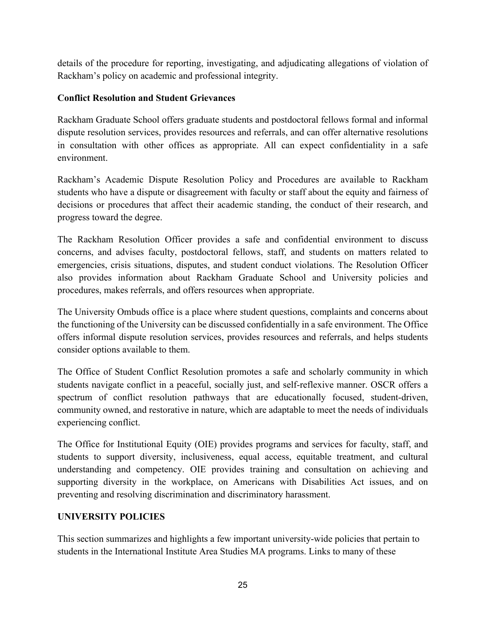details of the procedure for reporting, investigating, and adjudicating allegations of violation of Rackham's policy on academic and professional integrity.

## **Conflict Resolution and Student Grievances**

Rackham Graduate School offers graduate students and postdoctoral fellows formal and informal dispute resolution services, provides resources and referrals, and can offer alternative resolutions in consultation with other offices as appropriate. All can expect confidentiality in a safe environment.

Rackham's Academic Dispute Resolution Policy and Procedures are available to Rackham students who have a dispute or disagreement with faculty or staff about the equity and fairness of decisions or procedures that affect their academic standing, the conduct of their research, and progress toward the degree.

The Rackham Resolution Officer provides a safe and confidential environment to discuss concerns, and advises faculty, postdoctoral fellows, staff, and students on matters related to emergencies, crisis situations, disputes, and student conduct violations. The Resolution Officer also provides information about Rackham Graduate School and University policies and procedures, makes referrals, and offers resources when appropriate.

The University Ombuds office is a place where student questions, complaints and concerns about the functioning of the University can be discussed confidentially in a safe environment. The Office offers informal dispute resolution services, provides resources and referrals, and helps students consider options available to them.

The Office of Student Conflict Resolution promotes a safe and scholarly community in which students navigate conflict in a peaceful, socially just, and self-reflexive manner. OSCR offers a spectrum of conflict resolution pathways that are educationally focused, student-driven, community owned, and restorative in nature, which are adaptable to meet the needs of individuals experiencing conflict.

The Office for Institutional Equity (OIE) provides programs and services for faculty, staff, and students to support diversity, inclusiveness, equal access, equitable treatment, and cultural understanding and competency. OIE provides training and consultation on achieving and supporting diversity in the workplace, on Americans with Disabilities Act issues, and on preventing and resolving discrimination and discriminatory harassment.

## **UNIVERSITY POLICIES**

This section summarizes and highlights a few important university-wide policies that pertain to students in the International Institute Area Studies MA programs. Links to many of these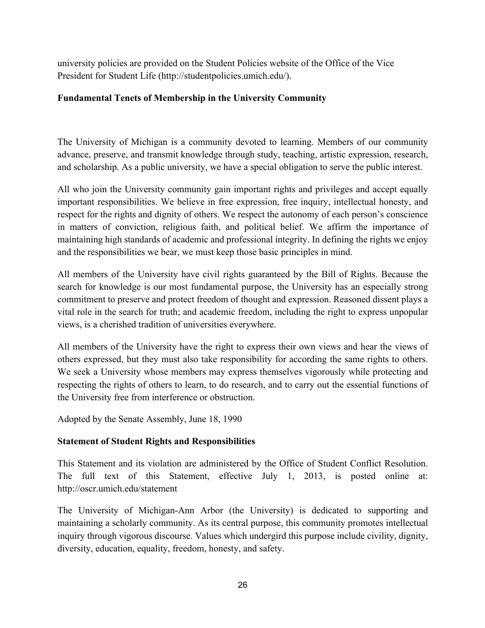university policies are provided on the Student Policies website of the Office of the Vice President for Student Life (http://studentpolicies.umich.edu/).

# **Fundamental Tenets of Membership in the University Community**

The University of Michigan is a community devoted to learning. Members of our community advance, preserve, and transmit knowledge through study, teaching, artistic expression, research, and scholarship. As a public university, we have a special obligation to serve the public interest.

All who join the University community gain important rights and privileges and accept equally important responsibilities. We believe in free expression, free inquiry, intellectual honesty, and respect for the rights and dignity of others. We respect the autonomy of each person's conscience in matters of conviction, religious faith, and political belief. We affirm the importance of maintaining high standards of academic and professional integrity. In defining the rights we enjoy and the responsibilities we bear, we must keep those basic principles in mind.

All members of the University have civil rights guaranteed by the Bill of Rights. Because the search for knowledge is our most fundamental purpose, the University has an especially strong commitment to preserve and protect freedom of thought and expression. Reasoned dissent plays a vital role in the search for truth; and academic freedom, including the right to express unpopular views, is a cherished tradition of universities everywhere.

All members of the University have the right to express their own views and hear the views of others expressed, but they must also take responsibility for according the same rights to others. We seek a University whose members may express themselves vigorously while protecting and respecting the rights of others to learn, to do research, and to carry out the essential functions of the University free from interference or obstruction.

Adopted by the Senate Assembly, June 18, 1990

# **Statement of Student Rights and Responsibilities**

This Statement and its violation are administered by the Office of Student Conflict Resolution. The full text of this Statement, effective July 1, 2013, is posted online at: http://oscr.umich.edu/statement

The University of Michigan-Ann Arbor (the University) is dedicated to supporting and maintaining a scholarly community. As its central purpose, this community promotes intellectual inquiry through vigorous discourse. Values which undergird this purpose include civility, dignity, diversity, education, equality, freedom, honesty, and safety.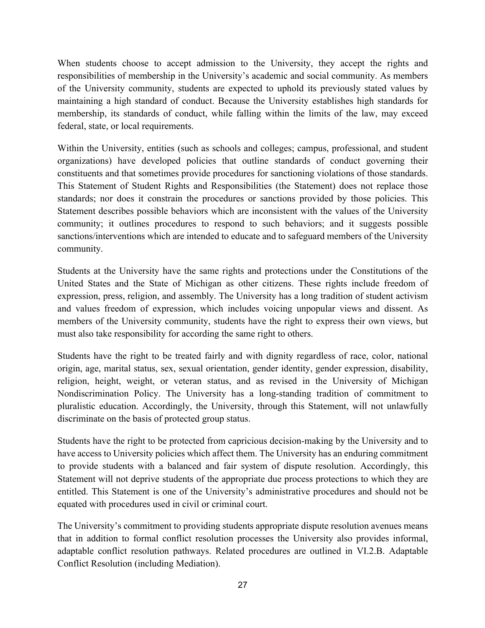When students choose to accept admission to the University, they accept the rights and responsibilities of membership in the University's academic and social community. As members of the University community, students are expected to uphold its previously stated values by maintaining a high standard of conduct. Because the University establishes high standards for membership, its standards of conduct, while falling within the limits of the law, may exceed federal, state, or local requirements.

Within the University, entities (such as schools and colleges; campus, professional, and student organizations) have developed policies that outline standards of conduct governing their constituents and that sometimes provide procedures for sanctioning violations of those standards. This Statement of Student Rights and Responsibilities (the Statement) does not replace those standards; nor does it constrain the procedures or sanctions provided by those policies. This Statement describes possible behaviors which are inconsistent with the values of the University community; it outlines procedures to respond to such behaviors; and it suggests possible sanctions/interventions which are intended to educate and to safeguard members of the University community.

Students at the University have the same rights and protections under the Constitutions of the United States and the State of Michigan as other citizens. These rights include freedom of expression, press, religion, and assembly. The University has a long tradition of student activism and values freedom of expression, which includes voicing unpopular views and dissent. As members of the University community, students have the right to express their own views, but must also take responsibility for according the same right to others.

Students have the right to be treated fairly and with dignity regardless of race, color, national origin, age, marital status, sex, sexual orientation, gender identity, gender expression, disability, religion, height, weight, or veteran status, and as revised in the University of Michigan Nondiscrimination Policy. The University has a long-standing tradition of commitment to pluralistic education. Accordingly, the University, through this Statement, will not unlawfully discriminate on the basis of protected group status.

Students have the right to be protected from capricious decision-making by the University and to have access to University policies which affect them. The University has an enduring commitment to provide students with a balanced and fair system of dispute resolution. Accordingly, this Statement will not deprive students of the appropriate due process protections to which they are entitled. This Statement is one of the University's administrative procedures and should not be equated with procedures used in civil or criminal court.

The University's commitment to providing students appropriate dispute resolution avenues means that in addition to formal conflict resolution processes the University also provides informal, adaptable conflict resolution pathways. Related procedures are outlined in VI.2.B. Adaptable Conflict Resolution (including Mediation).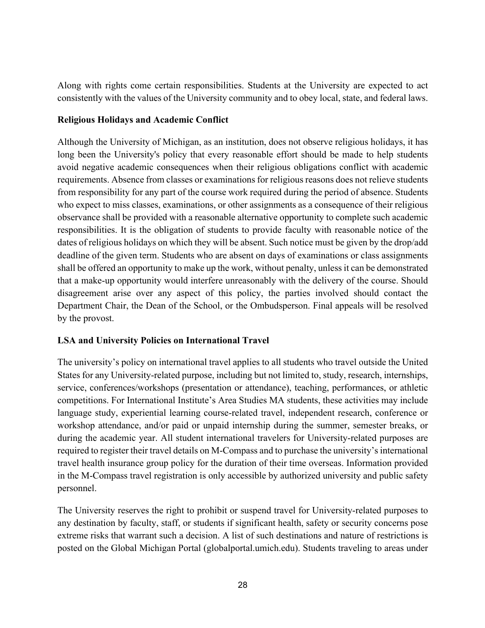Along with rights come certain responsibilities. Students at the University are expected to act consistently with the values of the University community and to obey local, state, and federal laws.

## **Religious Holidays and Academic Conflict**

Although the University of Michigan, as an institution, does not observe religious holidays, it has long been the University's policy that every reasonable effort should be made to help students avoid negative academic consequences when their religious obligations conflict with academic requirements. Absence from classes or examinations for religious reasons does not relieve students from responsibility for any part of the course work required during the period of absence. Students who expect to miss classes, examinations, or other assignments as a consequence of their religious observance shall be provided with a reasonable alternative opportunity to complete such academic responsibilities. It is the obligation of students to provide faculty with reasonable notice of the dates of religious holidays on which they will be absent. Such notice must be given by the drop/add deadline of the given term. Students who are absent on days of examinations or class assignments shall be offered an opportunity to make up the work, without penalty, unless it can be demonstrated that a make-up opportunity would interfere unreasonably with the delivery of the course. Should disagreement arise over any aspect of this policy, the parties involved should contact the Department Chair, the Dean of the School, or the Ombudsperson. Final appeals will be resolved by the provost.

# **LSA and University Policies on International Travel**

The university's policy on international travel applies to all students who travel outside the United States for any University-related purpose, including but not limited to, study, research, internships, service, conferences/workshops (presentation or attendance), teaching, performances, or athletic competitions. For International Institute's Area Studies MA students, these activities may include language study, experiential learning course-related travel, independent research, conference or workshop attendance, and/or paid or unpaid internship during the summer, semester breaks, or during the academic year. All student international travelers for University-related purposes are required to register their travel details on M-Compass and to purchase the university's international travel health insurance group policy for the duration of their time overseas. Information provided in the M-Compass travel registration is only accessible by authorized university and public safety personnel.

The University reserves the right to prohibit or suspend travel for University-related purposes to any destination by faculty, staff, or students if significant health, safety or security concerns pose extreme risks that warrant such a decision. A list of such destinations and nature of restrictions is posted on the Global Michigan Portal (globalportal.umich.edu). Students traveling to areas under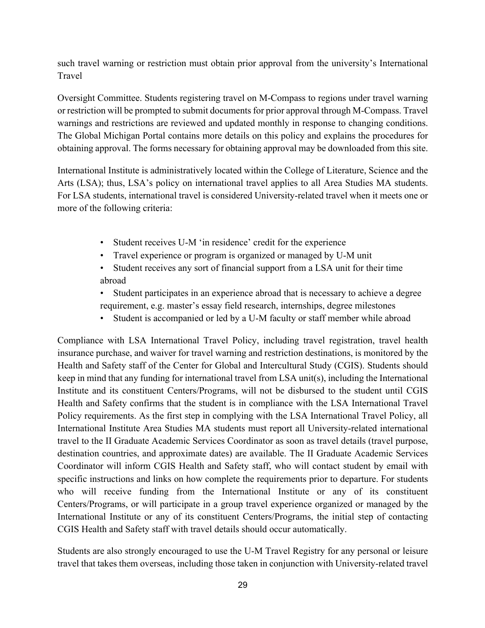such travel warning or restriction must obtain prior approval from the university's International Travel

Oversight Committee. Students registering travel on M-Compass to regions under travel warning or restriction will be prompted to submit documents for prior approval through M-Compass. Travel warnings and restrictions are reviewed and updated monthly in response to changing conditions. The Global Michigan Portal contains more details on this policy and explains the procedures for obtaining approval. The forms necessary for obtaining approval may be downloaded from this site.

International Institute is administratively located within the College of Literature, Science and the Arts (LSA); thus, LSA's policy on international travel applies to all Area Studies MA students. For LSA students, international travel is considered University-related travel when it meets one or more of the following criteria:

- Student receives U-M 'in residence' credit for the experience
- Travel experience or program is organized or managed by U-M unit
- Student receives any sort of financial support from a LSA unit for their time abroad
- Student participates in an experience abroad that is necessary to achieve a degree requirement, e.g. master's essay field research, internships, degree milestones
- Student is accompanied or led by a U-M faculty or staff member while abroad

Compliance with LSA International Travel Policy, including travel registration, travel health insurance purchase, and waiver for travel warning and restriction destinations, is monitored by the Health and Safety staff of the Center for Global and Intercultural Study (CGIS). Students should keep in mind that any funding for international travel from LSA unit(s), including the International Institute and its constituent Centers/Programs, will not be disbursed to the student until CGIS Health and Safety confirms that the student is in compliance with the LSA International Travel Policy requirements. As the first step in complying with the LSA International Travel Policy, all International Institute Area Studies MA students must report all University-related international travel to the II Graduate Academic Services Coordinator as soon as travel details (travel purpose, destination countries, and approximate dates) are available. The II Graduate Academic Services Coordinator will inform CGIS Health and Safety staff, who will contact student by email with specific instructions and links on how complete the requirements prior to departure. For students who will receive funding from the International Institute or any of its constituent Centers/Programs, or will participate in a group travel experience organized or managed by the International Institute or any of its constituent Centers/Programs, the initial step of contacting CGIS Health and Safety staff with travel details should occur automatically.

Students are also strongly encouraged to use the U-M Travel Registry for any personal or leisure travel that takes them overseas, including those taken in conjunction with University-related travel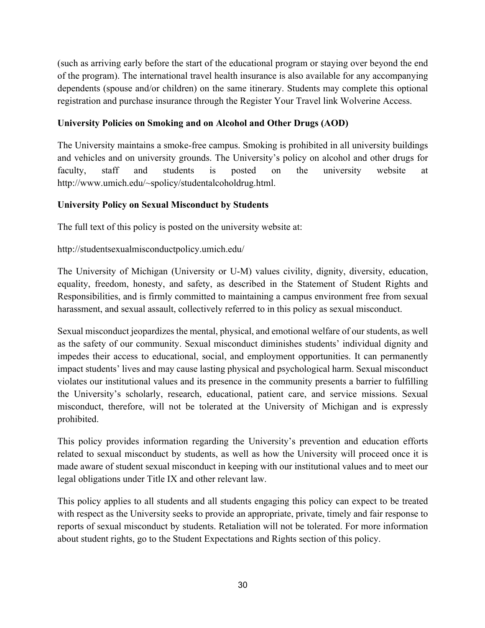(such as arriving early before the start of the educational program or staying over beyond the end of the program). The international travel health insurance is also available for any accompanying dependents (spouse and/or children) on the same itinerary. Students may complete this optional registration and purchase insurance through the Register Your Travel link Wolverine Access.

## **University Policies on Smoking and on Alcohol and Other Drugs (AOD)**

The University maintains a smoke-free campus. Smoking is prohibited in all university buildings and vehicles and on university grounds. The University's policy on alcohol and other drugs for faculty, staff and students is posted on the university website at http://www.umich.edu/~spolicy/studentalcoholdrug.html.

# **University Policy on Sexual Misconduct by Students**

The full text of this policy is posted on the university website at:

http://studentsexualmisconductpolicy.umich.edu/

The University of Michigan (University or U-M) values civility, dignity, diversity, education, equality, freedom, honesty, and safety, as described in the Statement of Student Rights and Responsibilities, and is firmly committed to maintaining a campus environment free from sexual harassment, and sexual assault, collectively referred to in this policy as sexual misconduct.

Sexual misconduct jeopardizes the mental, physical, and emotional welfare of our students, as well as the safety of our community. Sexual misconduct diminishes students' individual dignity and impedes their access to educational, social, and employment opportunities. It can permanently impact students' lives and may cause lasting physical and psychological harm. Sexual misconduct violates our institutional values and its presence in the community presents a barrier to fulfilling the University's scholarly, research, educational, patient care, and service missions. Sexual misconduct, therefore, will not be tolerated at the University of Michigan and is expressly prohibited.

This policy provides information regarding the University's prevention and education efforts related to sexual misconduct by students, as well as how the University will proceed once it is made aware of student sexual misconduct in keeping with our institutional values and to meet our legal obligations under Title IX and other relevant law.

This policy applies to all students and all students engaging this policy can expect to be treated with respect as the University seeks to provide an appropriate, private, timely and fair response to reports of sexual misconduct by students. Retaliation will not be tolerated. For more information about student rights, go to the Student Expectations and Rights section of this policy.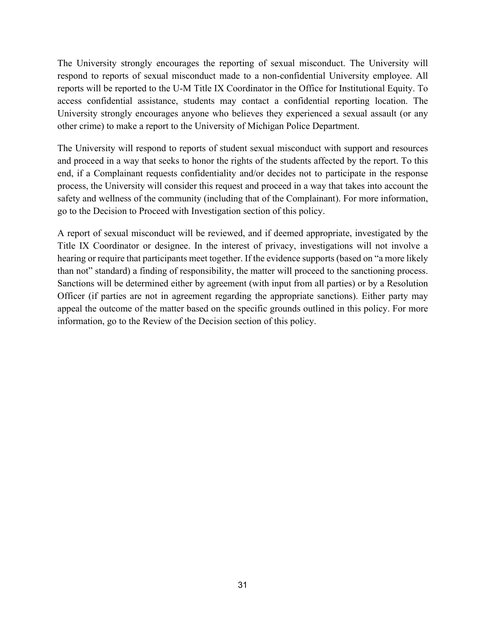The University strongly encourages the reporting of sexual misconduct. The University will respond to reports of sexual misconduct made to a non-confidential University employee. All reports will be reported to the U-M Title IX Coordinator in the Office for Institutional Equity. To access confidential assistance, students may contact a confidential reporting location. The University strongly encourages anyone who believes they experienced a sexual assault (or any other crime) to make a report to the University of Michigan Police Department.

The University will respond to reports of student sexual misconduct with support and resources and proceed in a way that seeks to honor the rights of the students affected by the report. To this end, if a Complainant requests confidentiality and/or decides not to participate in the response process, the University will consider this request and proceed in a way that takes into account the safety and wellness of the community (including that of the Complainant). For more information, go to the Decision to Proceed with Investigation section of this policy.

A report of sexual misconduct will be reviewed, and if deemed appropriate, investigated by the Title IX Coordinator or designee. In the interest of privacy, investigations will not involve a hearing or require that participants meet together. If the evidence supports (based on "a more likely than not" standard) a finding of responsibility, the matter will proceed to the sanctioning process. Sanctions will be determined either by agreement (with input from all parties) or by a Resolution Officer (if parties are not in agreement regarding the appropriate sanctions). Either party may appeal the outcome of the matter based on the specific grounds outlined in this policy. For more information, go to the Review of the Decision section of this policy.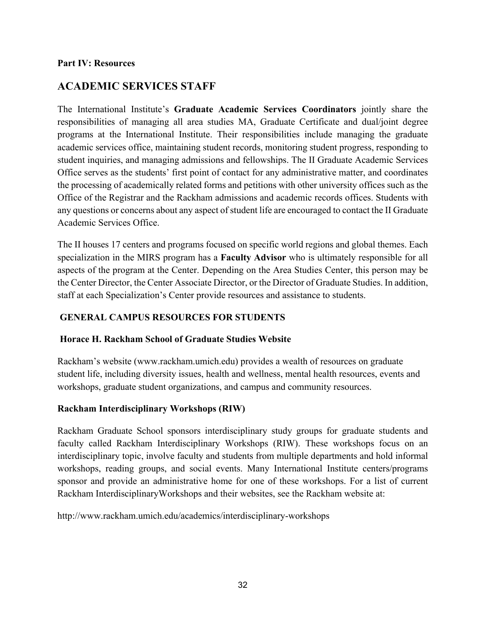#### **Part IV: Resources**

# **ACADEMIC SERVICES STAFF**

The International Institute's **Graduate Academic Services Coordinators** jointly share the responsibilities of managing all area studies MA, Graduate Certificate and dual/joint degree programs at the International Institute. Their responsibilities include managing the graduate academic services office, maintaining student records, monitoring student progress, responding to student inquiries, and managing admissions and fellowships. The II Graduate Academic Services Office serves as the students' first point of contact for any administrative matter, and coordinates the processing of academically related forms and petitions with other university offices such as the Office of the Registrar and the Rackham admissions and academic records offices. Students with any questions or concerns about any aspect of student life are encouraged to contact the II Graduate Academic Services Office.

The II houses 17 centers and programs focused on specific world regions and global themes. Each specialization in the MIRS program has a **Faculty Advisor** who is ultimately responsible for all aspects of the program at the Center. Depending on the Area Studies Center, this person may be the Center Director, the Center Associate Director, or the Director of Graduate Studies. In addition, staff at each Specialization's Center provide resources and assistance to students.

## **GENERAL CAMPUS RESOURCES FOR STUDENTS**

## **Horace H. Rackham School of Graduate Studies Website**

Rackham's website (www.rackham.umich.edu) provides a wealth of resources on graduate student life, including diversity issues, health and wellness, mental health resources, events and workshops, graduate student organizations, and campus and community resources.

## **Rackham Interdisciplinary Workshops (RIW)**

Rackham Graduate School sponsors interdisciplinary study groups for graduate students and faculty called Rackham Interdisciplinary Workshops (RIW). These workshops focus on an interdisciplinary topic, involve faculty and students from multiple departments and hold informal workshops, reading groups, and social events. Many International Institute centers/programs sponsor and provide an administrative home for one of these workshops. For a list of current Rackham InterdisciplinaryWorkshops and their websites, see the Rackham website at:

http://www.rackham.umich.edu/academics/interdisciplinary-workshops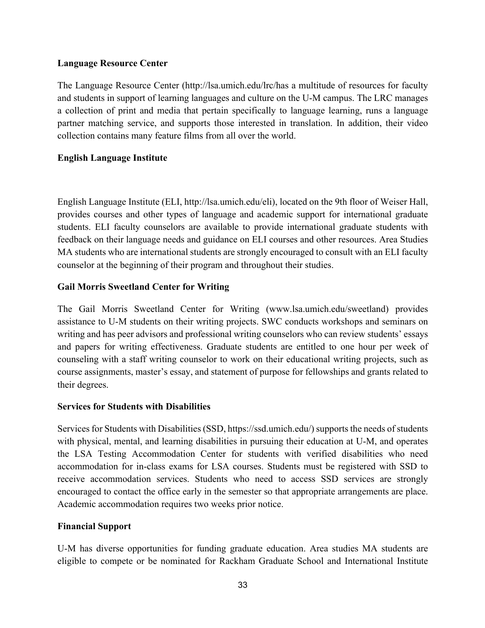#### **Language Resource Center**

The Language Resource Center (http://lsa.umich.edu/lrc/has a multitude of resources for faculty and students in support of learning languages and culture on the U-M campus. The LRC manages a collection of print and media that pertain specifically to language learning, runs a language partner matching service, and supports those interested in translation. In addition, their video collection contains many feature films from all over the world.

## **English Language Institute**

English Language Institute (ELI, http://lsa.umich.edu/eli), located on the 9th floor of Weiser Hall, provides courses and other types of language and academic support for international graduate students. ELI faculty counselors are available to provide international graduate students with feedback on their language needs and guidance on ELI courses and other resources. Area Studies MA students who are international students are strongly encouraged to consult with an ELI faculty counselor at the beginning of their program and throughout their studies.

#### **Gail Morris Sweetland Center for Writing**

The Gail Morris Sweetland Center for Writing (www.lsa.umich.edu/sweetland) provides assistance to U-M students on their writing projects. SWC conducts workshops and seminars on writing and has peer advisors and professional writing counselors who can review students' essays and papers for writing effectiveness. Graduate students are entitled to one hour per week of counseling with a staff writing counselor to work on their educational writing projects, such as course assignments, master's essay, and statement of purpose for fellowships and grants related to their degrees.

#### **Services for Students with Disabilities**

Services for Students with Disabilities (SSD, https://ssd.umich.edu/) supports the needs of students with physical, mental, and learning disabilities in pursuing their education at U-M, and operates the LSA Testing Accommodation Center for students with verified disabilities who need accommodation for in-class exams for LSA courses. Students must be registered with SSD to receive accommodation services. Students who need to access SSD services are strongly encouraged to contact the office early in the semester so that appropriate arrangements are place. Academic accommodation requires two weeks prior notice.

#### **Financial Support**

U-M has diverse opportunities for funding graduate education. Area studies MA students are eligible to compete or be nominated for Rackham Graduate School and International Institute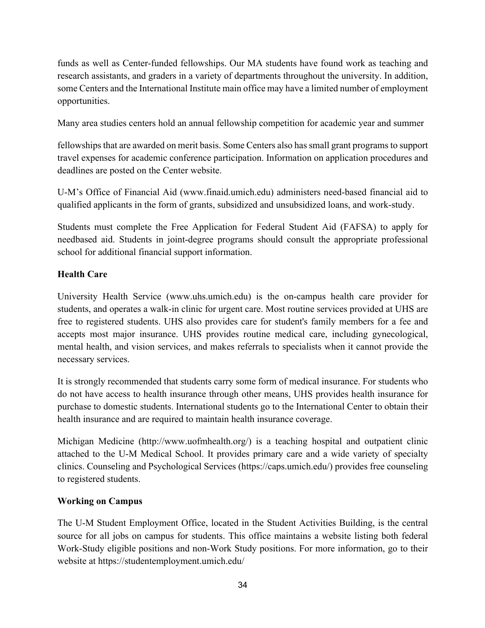funds as well as Center-funded fellowships. Our MA students have found work as teaching and research assistants, and graders in a variety of departments throughout the university. In addition, some Centers and the International Institute main office may have a limited number of employment opportunities.

Many area studies centers hold an annual fellowship competition for academic year and summer

fellowships that are awarded on merit basis. Some Centers also has small grant programs to support travel expenses for academic conference participation. Information on application procedures and deadlines are posted on the Center website.

U-M's Office of Financial Aid (www.finaid.umich.edu) administers need-based financial aid to qualified applicants in the form of grants, subsidized and unsubsidized loans, and work-study.

Students must complete the Free Application for Federal Student Aid (FAFSA) to apply for needbased aid. Students in joint-degree programs should consult the appropriate professional school for additional financial support information.

# **Health Care**

University Health Service (www.uhs.umich.edu) is the on-campus health care provider for students, and operates a walk-in clinic for urgent care. Most routine services provided at UHS are free to registered students. UHS also provides care for student's family members for a fee and accepts most major insurance. UHS provides routine medical care, including gynecological, mental health, and vision services, and makes referrals to specialists when it cannot provide the necessary services.

It is strongly recommended that students carry some form of medical insurance. For students who do not have access to health insurance through other means, UHS provides health insurance for purchase to domestic students. International students go to the International Center to obtain their health insurance and are required to maintain health insurance coverage.

Michigan Medicine (http://www.uofmhealth.org/) is a teaching hospital and outpatient clinic attached to the U-M Medical School. It provides primary care and a wide variety of specialty clinics. Counseling and Psychological Services (https://caps.umich.edu/) provides free counseling to registered students.

# **Working on Campus**

The U-M Student Employment Office, located in the Student Activities Building, is the central source for all jobs on campus for students. This office maintains a website listing both federal Work-Study eligible positions and non-Work Study positions. For more information, go to their website at https://studentemployment.umich.edu/